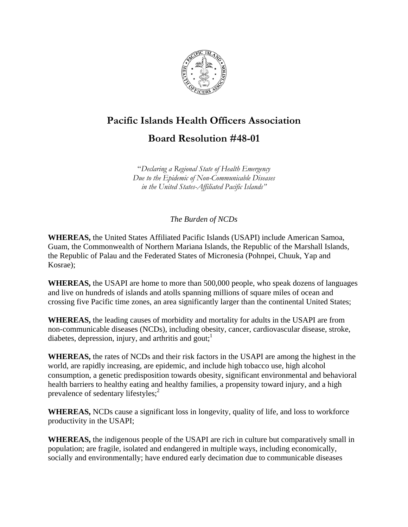

# **Pacific Islands Health Officers Association**

## **Board Resolution #48-01**

"*Declaring a Regional State of Health Emergency Due to the Epidemic of Non-Communicable Diseases in the United States-Affiliated Pacific Islands"* 

*The Burden of NCDs*

**WHEREAS,** the United States Affiliated Pacific Islands (USAPI) include American Samoa, Guam, the Commonwealth of Northern Mariana Islands, the Republic of the Marshall Islands, the Republic of Palau and the Federated States of Micronesia (Pohnpei, Chuuk, Yap and Kosrae);

**WHEREAS,** the USAPI are home to more than 500,000 people, who speak dozens of languages and live on hundreds of islands and atolls spanning millions of square miles of ocean and crossing five Pacific time zones, an area significantly larger than the continental United States;

**WHEREAS,** the leading causes of morbidity and mortality for adults in the USAPI are from non-communicable diseases (NCDs), including obesity, cancer, cardiovascular disease, stroke, diabetes, depression, injury, and arthritis and gout; $<sup>1</sup>$ </sup>

**WHEREAS,** the rates of NCDs and their risk factors in the USAPI are among the highest in the world, are rapidly increasing, are epidemic, and include high tobacco use, high alcohol consumption, a genetic predisposition towards obesity, significant environmental and behavioral health barriers to healthy eating and healthy families, a propensity toward injury, and a high prevalence of sedentary lifestyles; $<sup>2</sup>$ </sup>

**WHEREAS,** NCDs cause a significant loss in longevity, quality of life, and loss to workforce productivity in the USAPI;

**WHEREAS,** the indigenous people of the USAPI are rich in culture but comparatively small in population; are fragile, isolated and endangered in multiple ways, including economically, socially and environmentally; have endured early decimation due to communicable diseases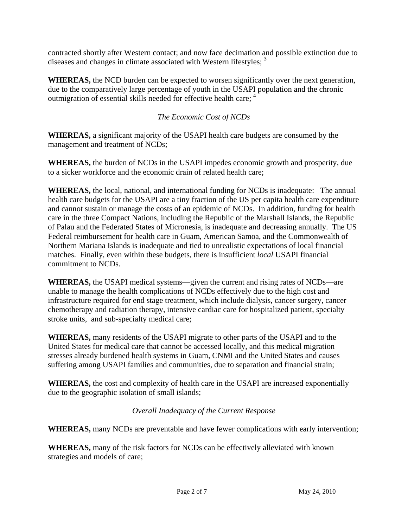contracted shortly after Western contact; and now face decimation and possible extinction due to diseases and changes in climate associated with Western lifestyles; <sup>3</sup>

**WHEREAS,** the NCD burden can be expected to worsen significantly over the next generation, due to the comparatively large percentage of youth in the USAPI population and the chronic outmigration of essential skills needed for effective health care; <sup>4</sup>

### *The Economic Cost of NCDs*

**WHEREAS,** a significant majority of the USAPI health care budgets are consumed by the management and treatment of NCDs;

**WHEREAS,** the burden of NCDs in the USAPI impedes economic growth and prosperity, due to a sicker workforce and the economic drain of related health care;

**WHEREAS,** the local, national, and international funding for NCDs is inadequate: The annual health care budgets for the USAPI are a tiny fraction of the US per capita health care expenditure and cannot sustain or manage the costs of an epidemic of NCDs. In addition, funding for health care in the three Compact Nations, including the Republic of the Marshall Islands, the Republic of Palau and the Federated States of Micronesia, is inadequate and decreasing annually. The US Federal reimbursement for health care in Guam, American Samoa, and the Commonwealth of Northern Mariana Islands is inadequate and tied to unrealistic expectations of local financial matches. Finally, even within these budgets, there is insufficient *local* USAPI financial commitment to NCDs.

**WHEREAS,** the USAPI medical systems—given the current and rising rates of NCDs—are unable to manage the health complications of NCDs effectively due to the high cost and infrastructure required for end stage treatment, which include dialysis, cancer surgery, cancer chemotherapy and radiation therapy, intensive cardiac care for hospitalized patient, specialty stroke units, and sub-specialty medical care;

**WHEREAS,** many residents of the USAPI migrate to other parts of the USAPI and to the United States for medical care that cannot be accessed locally, and this medical migration stresses already burdened health systems in Guam, CNMI and the United States and causes suffering among USAPI families and communities, due to separation and financial strain;

**WHEREAS,** the cost and complexity of health care in the USAPI are increased exponentially due to the geographic isolation of small islands;

#### *Overall Inadequacy of the Current Response*

**WHEREAS,** many NCDs are preventable and have fewer complications with early intervention;

**WHEREAS,** many of the risk factors for NCDs can be effectively alleviated with known strategies and models of care;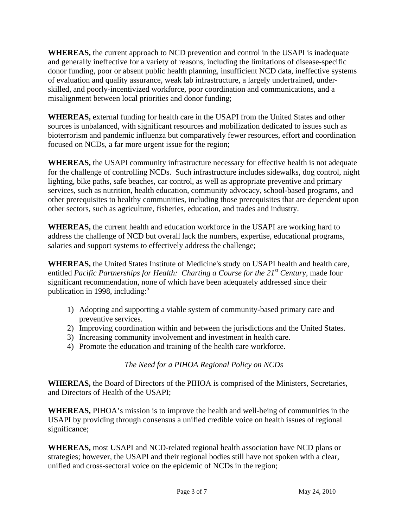**WHEREAS,** the current approach to NCD prevention and control in the USAPI is inadequate and generally ineffective for a variety of reasons, including the limitations of disease-specific donor funding, poor or absent public health planning, insufficient NCD data, ineffective systems of evaluation and quality assurance, weak lab infrastructure, a largely undertrained, underskilled, and poorly-incentivized workforce, poor coordination and communications, and a misalignment between local priorities and donor funding;

**WHEREAS,** external funding for health care in the USAPI from the United States and other sources is unbalanced, with significant resources and mobilization dedicated to issues such as bioterrorism and pandemic influenza but comparatively fewer resources, effort and coordination focused on NCDs, a far more urgent issue for the region;

**WHEREAS,** the USAPI community infrastructure necessary for effective health is not adequate for the challenge of controlling NCDs. Such infrastructure includes sidewalks, dog control, night lighting, bike paths, safe beaches, car control, as well as appropriate preventive and primary services, such as nutrition, health education, community advocacy, school-based programs, and other prerequisites to healthy communities, including those prerequisites that are dependent upon other sectors, such as agriculture, fisheries, education, and trades and industry.

**WHEREAS,** the current health and education workforce in the USAPI are working hard to address the challenge of NCD but overall lack the numbers, expertise, educational programs, salaries and support systems to effectively address the challenge;

**WHEREAS,** the United States Institute of Medicine's study on USAPI health and health care, entitled *Pacific Partnerships for Health: Charting a Course for the 21<sup>st</sup> Century, made four* significant recommendation, none of which have been adequately addressed since their publication in 1998, including: $5$ 

- 1) Adopting and supporting a viable system of community-based primary care and preventive services.
- 2) Improving coordination within and between the jurisdictions and the United States.
- 3) Increasing community involvement and investment in health care.
- 4) Promote the education and training of the health care workforce.

#### *The Need for a PIHOA Regional Policy on NCDs*

**WHEREAS,** the Board of Directors of the PIHOA is comprised of the Ministers, Secretaries, and Directors of Health of the USAPI;

**WHEREAS,** PIHOA's mission is to improve the health and well-being of communities in the USAPI by providing through consensus a unified credible voice on health issues of regional significance;

**WHEREAS,** most USAPI and NCD-related regional health association have NCD plans or strategies; however, the USAPI and their regional bodies still have not spoken with a clear, unified and cross-sectoral voice on the epidemic of NCDs in the region;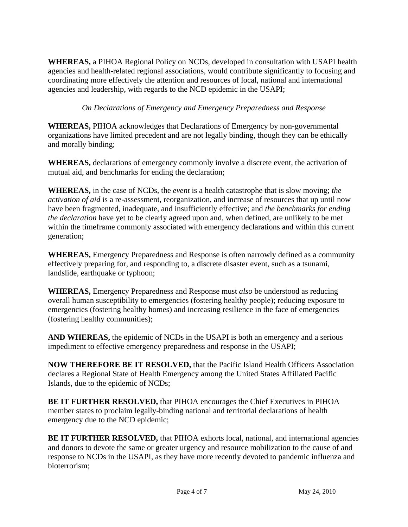**WHEREAS,** a PIHOA Regional Policy on NCDs, developed in consultation with USAPI health agencies and health-related regional associations, would contribute significantly to focusing and coordinating more effectively the attention and resources of local, national and international agencies and leadership, with regards to the NCD epidemic in the USAPI;

#### *On Declarations of Emergency and Emergency Preparedness and Response*

**WHEREAS,** PIHOA acknowledges that Declarations of Emergency by non-governmental organizations have limited precedent and are not legally binding, though they can be ethically and morally binding;

**WHEREAS,** declarations of emergency commonly involve a discrete event, the activation of mutual aid, and benchmarks for ending the declaration;

**WHEREAS,** in the case of NCDs, the *event* is a health catastrophe that is slow moving; *the activation of aid* is a re-assessment, reorganization, and increase of resources that up until now have been fragmented, inadequate, and insufficiently effective; and *the benchmarks for ending the declaration* have yet to be clearly agreed upon and, when defined, are unlikely to be met within the timeframe commonly associated with emergency declarations and within this current generation;

**WHEREAS,** Emergency Preparedness and Response is often narrowly defined as a community effectively preparing for, and responding to, a discrete disaster event, such as a tsunami, landslide, earthquake or typhoon;

**WHEREAS,** Emergency Preparedness and Response must *also* be understood as reducing overall human susceptibility to emergencies (fostering healthy people); reducing exposure to emergencies (fostering healthy homes) and increasing resilience in the face of emergencies (fostering healthy communities);

**AND WHEREAS,** the epidemic of NCDs in the USAPI is both an emergency and a serious impediment to effective emergency preparedness and response in the USAPI;

**NOW THEREFORE BE IT RESOLVED,** that the Pacific Island Health Officers Association declares a Regional State of Health Emergency among the United States Affiliated Pacific Islands, due to the epidemic of NCDs;

**BE IT FURTHER RESOLVED,** that PIHOA encourages the Chief Executives in PIHOA member states to proclaim legally-binding national and territorial declarations of health emergency due to the NCD epidemic;

**BE IT FURTHER RESOLVED,** that PIHOA exhorts local, national, and international agencies and donors to devote the same or greater urgency and resource mobilization to the cause of and response to NCDs in the USAPI, as they have more recently devoted to pandemic influenza and bioterrorism;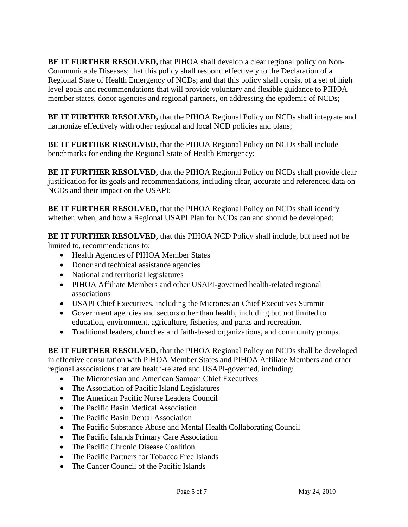**BE IT FURTHER RESOLVED,** that PIHOA shall develop a clear regional policy on Non-Communicable Diseases; that this policy shall respond effectively to the Declaration of a Regional State of Health Emergency of NCDs; and that this policy shall consist of a set of high level goals and recommendations that will provide voluntary and flexible guidance to PIHOA member states, donor agencies and regional partners, on addressing the epidemic of NCDs;

**BE IT FURTHER RESOLVED,** that the PIHOA Regional Policy on NCDs shall integrate and harmonize effectively with other regional and local NCD policies and plans;

**BE IT FURTHER RESOLVED,** that the PIHOA Regional Policy on NCDs shall include benchmarks for ending the Regional State of Health Emergency;

**BE IT FURTHER RESOLVED,** that the PIHOA Regional Policy on NCDs shall provide clear justification for its goals and recommendations, including clear, accurate and referenced data on NCDs and their impact on the USAPI;

**BE IT FURTHER RESOLVED,** that the PIHOA Regional Policy on NCDs shall identify whether, when, and how a Regional USAPI Plan for NCDs can and should be developed;

**BE IT FURTHER RESOLVED,** that this PIHOA NCD Policy shall include, but need not be limited to, recommendations to:

- Health Agencies of PIHOA Member States
- Donor and technical assistance agencies
- National and territorial legislatures
- PIHOA Affiliate Members and other USAPI-governed health-related regional associations
- USAPI Chief Executives, including the Micronesian Chief Executives Summit
- Government agencies and sectors other than health, including but not limited to education, environment, agriculture, fisheries, and parks and recreation.
- Traditional leaders, churches and faith-based organizations, and community groups.

**BE IT FURTHER RESOLVED,** that the PIHOA Regional Policy on NCDs shall be developed in effective consultation with PIHOA Member States and PIHOA Affiliate Members and other regional associations that are health-related and USAPI-governed, including:

- The Micronesian and American Samoan Chief Executives
- The Association of Pacific Island Legislatures
- The American Pacific Nurse Leaders Council
- The Pacific Basin Medical Association
- The Pacific Basin Dental Association
- The Pacific Substance Abuse and Mental Health Collaborating Council
- The Pacific Islands Primary Care Association
- The Pacific Chronic Disease Coalition
- The Pacific Partners for Tobacco Free Islands
- The Cancer Council of the Pacific Islands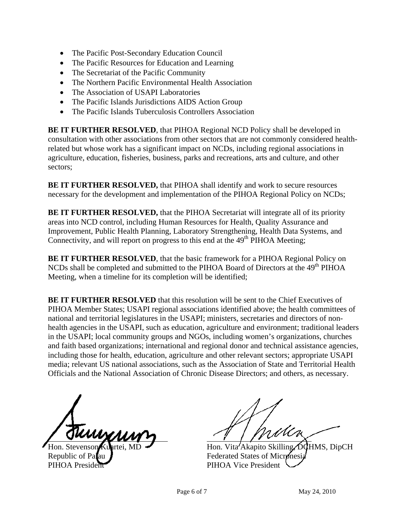- The Pacific Post-Secondary Education Council
- The Pacific Resources for Education and Learning
- The Secretariat of the Pacific Community
- The Northern Pacific Environmental Health Association
- The Association of USAPI Laboratories
- The Pacific Islands Jurisdictions AIDS Action Group
- The Pacific Islands Tuberculosis Controllers Association

**BE IT FURTHER RESOLVED**, that PIHOA Regional NCD Policy shall be developed in consultation with other associations from other sectors that are not commonly considered healthrelated but whose work has a significant impact on NCDs, including regional associations in agriculture, education, fisheries, business, parks and recreations, arts and culture, and other sectors;

**BE IT FURTHER RESOLVED,** that PIHOA shall identify and work to secure resources necessary for the development and implementation of the PIHOA Regional Policy on NCDs;

**BE IT FURTHER RESOLVED, that the PIHOA Secretariat will integrate all of its priority** areas into NCD control, including Human Resources for Health, Quality Assurance and Improvement, Public Health Planning, Laboratory Strengthening, Health Data Systems, and Connectivity, and will report on progress to this end at the  $49<sup>th</sup>$  PIHOA Meeting;

**BE IT FURTHER RESOLVED**, that the basic framework for a PIHOA Regional Policy on NCDs shall be completed and submitted to the PIHOA Board of Directors at the 49<sup>th</sup> PIHOA Meeting, when a timeline for its completion will be identified;

**BE IT FURTHER RESOLVED** that this resolution will be sent to the Chief Executives of PIHOA Member States; USAPI regional associations identified above; the health committees of national and territorial legislatures in the USAPI; ministers, secretaries and directors of nonhealth agencies in the USAPI, such as education, agriculture and environment; traditional leaders in the USAPI; local community groups and NGOs, including women's organizations, churches and faith based organizations; international and regional donor and technical assistance agencies, including those for health, education, agriculture and other relevant sectors; appropriate USAPI media; relevant US national associations, such as the Association of State and Territorial Health Officials and the National Association of Chronic Disease Directors; and others, as necessary.

í

Republic of Palau **Federated States of Micronesia** PIHOA President PIHOA Vice President

 $\sqrt{\frac{\text{Huny}}{\text{Hom. Stevenson Kuhrtei, MD}}$   $\frac{1}{\text{Hom. Vita'Akapito Skilling} \cdot \text{DqHMS, DipCH}}$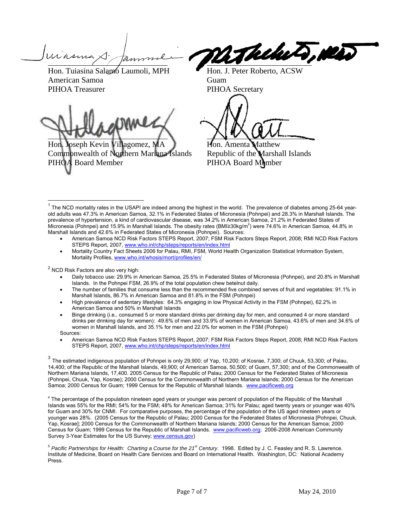$\overline{\phantom{a}}$ 

Hon. Tuiasina Salamo Laumoli, MPH Hon. J. Peter Roberto, ACSW American Samoa Guam PIHOA Treasurer PIHOA Secretary

l

Hon. Joseph Kevin Villagomez, MA **Hon.** Amenta Matthew Commonwealth of Northern Mariana Islands Republic of the Marshall Islands PIHOA Board Member PIHOA Board Member

Thelut, New

- American Samoa NCD Risk Factors STEPS Report, 2007; FSM Risk Factors Steps Report, 2008; RMI NCD Risk Factors STEPS Report, 2007, www.who.int/chp/steps/reports/en/index.html
- Mortality Country Fact Sheets 2006 for Palau, RMI, FSM, World Health Organization Statistical Information System, Mortality Profiles, www.who.int/whosis/mort/profiles/en/

 $<sup>2</sup>$  NCD Risk Factors are also very high:</sup>

 $\overline{a}$ 

- Daily tobacco use: 29.9% in American Samoa, 25.5% in Federated States of Micronesia (Pohnpei), and 20.8% in Marshall Islands. In the Pohnpei FSM, 26.9% of the total population chew betelnut daily.
- The number of families that consume less than the recommended five combined serves of fruit and vegetables: 91.1% in Marshall Islands, 86.7% in American Samoa and 81.8% in the FSM (Pohnpei)
- High prevalence of sedentary lifestyles: 64.3% engaging in low Physical Activity in the FSM (Pohnpei), 62.2% in American Samoa and 50% in Marshall Islands
- Binge drinking (i.e., consumed 5 or more standard drinks per drinking day for men, and consumed 4 or more standard drinks per drinking day for women): 49.6% of men and 33.9% of women in American Samoa, 43.6% of men and 34.6% of women in Marshall Islands, and 35.1% for men and 22.0% for women in the FSM (Pohnpei) Sources:
- American Samoa NCD Risk Factors STEPS Report, 2007; FSM Risk Factors Steps Report, 2008; RMI NCD Risk Factors STEPS Report, 2007, www.who.int/chp/steps/reports/en/index.html

<sup>5</sup> *Pacific Partnerships for Health: Charting a Course for the 21st Century*. 1998. Edited by J. C. Feasley and R. S. Lawrence. Institute of Medicine, Board on Health Care Services and Board on International Health. Washington, DC: National Academy Press.

 $1$  The NCD mortality rates in the USAPI are indeed among the highest in the world. The prevalence of diabetes among 25-64 yearold adults was 47.3% in American Samoa, 32.1% in Federated States of Micronesia (Pohnpei) and 28.3% in Marshall Islands. The prevalence of hypertension, a kind of cardiovascular disease, was 34.2% in American Samoa, 21.2% in Federated States of Micronesia (Pohnpei) and 15.9% in Marshall Islands. The obesity rates (BMI≥30kg/m<sup>2</sup>) were 74.6% in American Samoa, 44.8% in Marshall Islands and 42.6% in Federated States of Micronesia (Pohnpei). Sources:

<sup>&</sup>lt;sup>3</sup> The estimated indigenous population of Pohnpei is only 29,900; of Yap, 10,200; of Kosrae, 7,300; of Chuuk, 53,300; of Palau, 14,400; of the Republic of the Marshall Islands, 49,900; of American Samoa, 50,500; of Guam, 57,300; and of the Commonwealth of Northern Mariana Islands, 17,400. 2005 Census for the Republic of Palau; 2000 Census for the Federated States of Micronesia (Pohnpei, Chuuk, Yap, Kosrae); 2000 Census for the Commonwealth of Northern Mariana Islands; 2000 Census for the American Samoa; 2000 Census for Guam; 1999 Census for the Republic of Marshall Islands. www.pacificweb.org

<sup>&</sup>lt;sup>4</sup> The percentage of the population nineteen aged years or younger was percent of population of the Republic of the Marshall Islands was 55% for the RMI; 54% for the FSM; 48% for American Samoa; 31% for Palau; aged twenty years or younger was 40% for Guam and 30% for CNMI. For comparative purposes, the percentage of the population of the US aged nineteen years or younger was 28%. (2005 Census for the Republic of Palau; 2000 Census for the Federated States of Micronesia [Pohnpei, Chuuk, Yap, Kosrae]; 2000 Census for the Commonwealth of Northern Mariana Islands; 2000 Census for the American Samoa; 2000 Census for Guam; 1999 Census for the Republic of Marshall Islands. www.pacificweb.org; 2006-2008 American Community Survey 3-Year Estimates for the US Survey; www.census.gov)